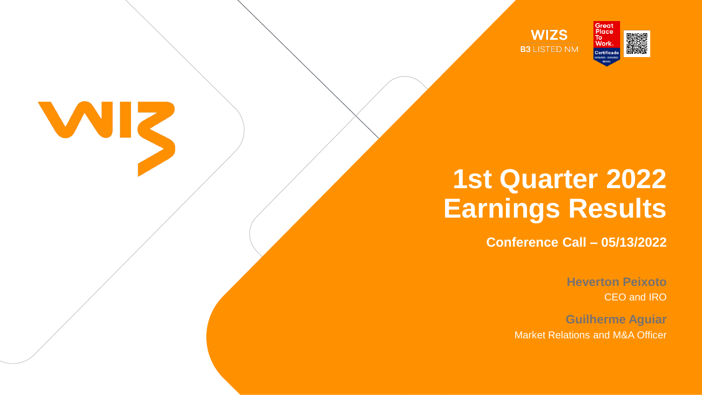







## **1st Quarter 2022 Earnings Results Conference Call – 05/13/2022**

**Heverton Peixoto** CEO and IRO

**Guilherme Aguiar** Market Relations and M&A Officer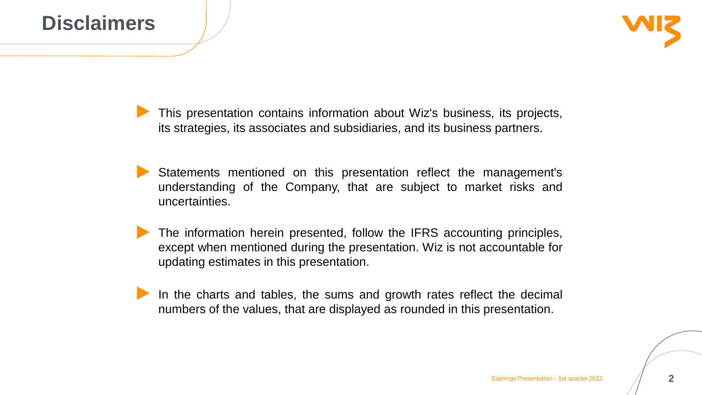### **Disclaimers**

This presentation contains information about Wiz's business, its projects, its strategies, its associates and subsidiaries, and its business partners.

- Statements mentioned on this presentation reflect the management's understanding of the Company, that are subject to market risks and uncertainties.
- The information herein presented, follow the IFRS accounting principles, except when mentioned during the presentation. Wiz is not accountable for updating estimates in this presentation.
- In the charts and tables, the sums and growth rates reflect the decimal numbers of the values, that are displayed as rounded in this presentation.



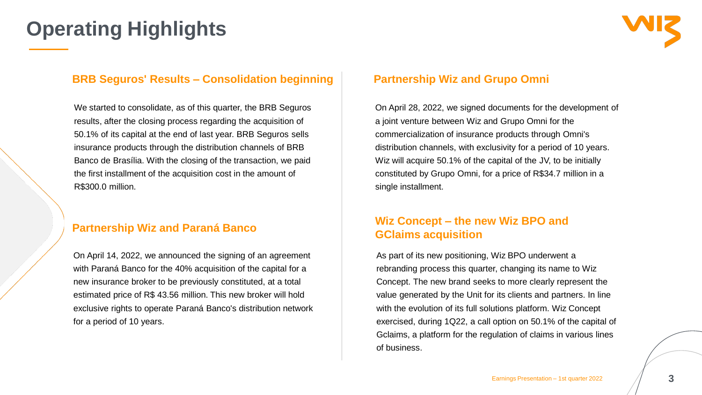### **BRB Seguros' Results – Consolidation beginning**

We started to consolidate, as of this quarter, the BRB Seguros results, after the closing process regarding the acquisition of 50.1% of its capital at the end of last year. BRB Seguros sells insurance products through the distribution channels of BRB Banco de Brasília. With the closing of the transaction, we paid the first installment of the acquisition cost in the amount of R\$300.0 million.

### **Partnership Wiz and Paraná Banco**

On April 14, 2022, we announced the signing of an agreement with Paraná Banco for the 40% acquisition of the capital for a new insurance broker to be previously constituted, at a total estimated price of R\$ 43.56 million. This new broker will hold exclusive rights to operate Paraná Banco's distribution network for a period of 10 years.

### **Operating Highlights**

### **Partnership Wiz and Grupo Omni**

On April 28, 2022, we signed documents for the development of a joint venture between Wiz and Grupo Omni for the commercialization of insurance products through Omni's distribution channels, with exclusivity for a period of 10 years. Wiz will acquire 50.1% of the capital of the JV, to be initially constituted by Grupo Omni, for a price of R\$34.7 million in a single installment.

### **Wiz Concept – the new Wiz BPO and GClaims acquisition**

As part of its new positioning, Wiz BPO underwent a rebranding process this quarter, changing its name to Wiz Concept. The new brand seeks to more clearly represent the value generated by the Unit for its clients and partners. In line with the evolution of its full solutions platform. Wiz Concept exercised, during 1Q22, a call option on 50.1% of the capital of Gclaims, a platform for the regulation of claims in various lines of business.

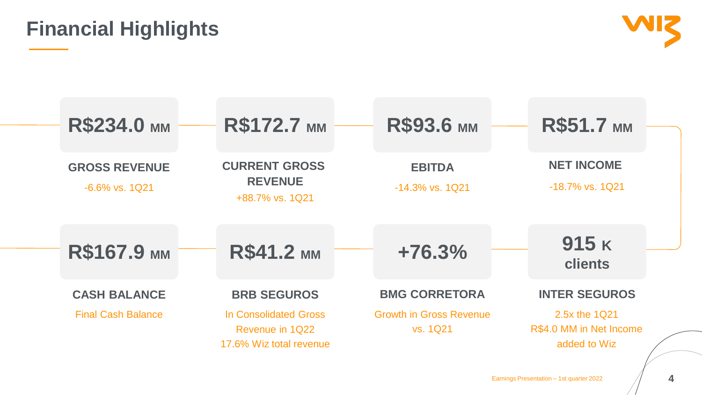**4**





### **Financial Highlights**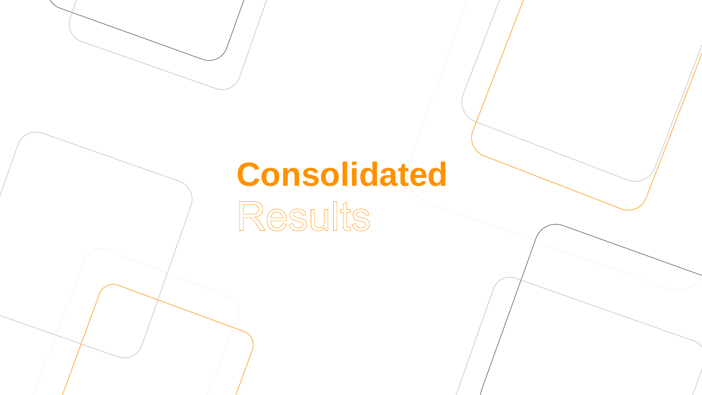# **Consolidated** Results

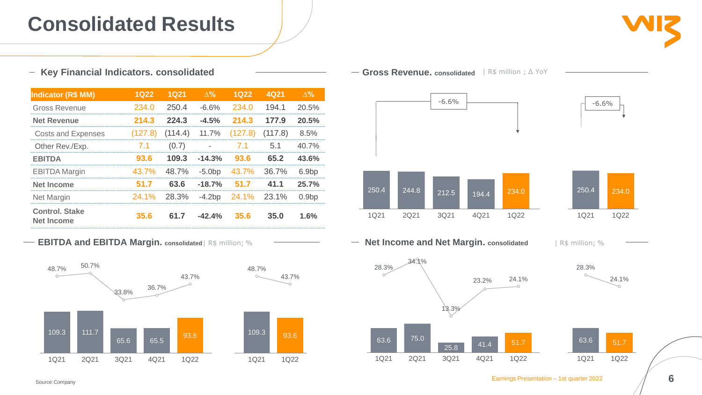



### **Consolidated Results**





| <b>Indicator (R\$ MM)</b>                  | <b>1Q22</b>  | <b>1Q21</b> | $\Delta\%$     | <b>1Q22</b> | 4Q21    | $\Delta\%$        |
|--------------------------------------------|--------------|-------------|----------------|-------------|---------|-------------------|
| <b>Gross Revenue</b>                       | 234.0        | 250.4       | $-6.6%$        | 234.0       | 194.1   | 20.5%             |
| <b>Net Revenue</b>                         | 214.3        | 224.3       | $-4.5%$        | 214.3       | 177.9   | 20.5%             |
| <b>Costs and Expenses</b>                  | (127.8)      | (114.4)     | 11.7%          | (127.8)     | (117.8) | 8.5%              |
| Other Rev./Exp.                            | 7.1          | (0.7)       | $\blacksquare$ | 7.1         | 5.1     | $40.7\%$          |
| <b>EBITDA</b>                              | 93.6         | 109.3       | $-14.3%$       | 93.6        | 65.2    | 43.6%             |
| <b>EBITDA Margin</b>                       | 43.7%        | 48.7%       | $-5.0bp$       | 43.7%       | 36.7%   | 6.9 <sub>bp</sub> |
| <b>Net Income</b>                          | 51.7         | 63.6        | $-18.7%$       | 51.7        | 41.1    | 25.7%             |
| <b>Net Margin</b>                          | <b>24.1%</b> | 28.3%       | $-4.2bp$       | 24.1%       | 23.1%   | 0.9bp             |
| <b>Control, Stake</b><br><b>Net Income</b> | 35.6         | 61.7        | $-42.4%$       | 35.6        | 35.0    | 1.6%              |

Source:Company

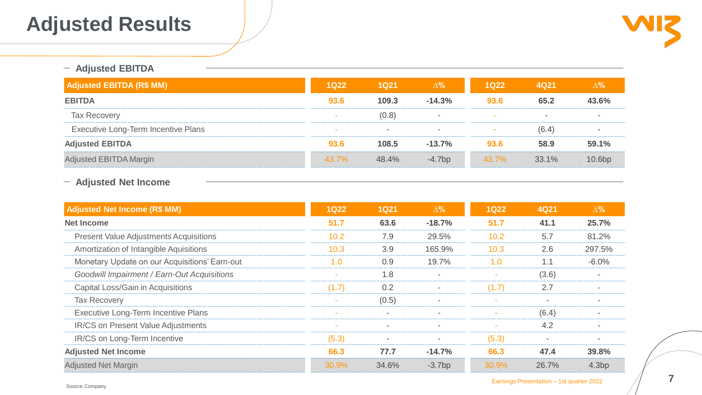

**7**

### **Adjusted Results**

### **Adjusted EBITDA**

### **Adjusted Net Income**

| <b>Adjusted EBITDA (R\$ MM)</b>            | <b>1Q22</b> | <b>1Q21</b> | $\Delta\%$ | <b>1Q22</b>  | <b>4Q21</b> | $\Delta%$          |
|--------------------------------------------|-------------|-------------|------------|--------------|-------------|--------------------|
| <b>EBITDA</b>                              | 93.6        | 109.3       | $-14.3%$   | 93.6         | 65.2        | 43.6%              |
| <b>Tax Recovery</b>                        |             | (0.8)       | $\equiv$   | <b>COLOR</b> | $\equiv$    | $\sim$             |
| <b>Executive Long-Term Incentive Plans</b> | $\sim$      | $\equiv$    | $\equiv$   |              | (6.4)       | <b>COLOR</b>       |
| <b>Adjusted EBITDA</b>                     | 93.6        | 108.5       | $-13.7%$   | 93.6         | 58.9        | 59.1%              |
| <b>Adjusted EBITDA Margin</b>              | 43.7%       | 48.4%       | $-4.7bp$   | 43.7%        | 33.1%       | 10.6 <sub>bp</sub> |

| <b>Adjusted Net Income (R\$ MM)</b>                | <b>1Q22</b> | <b>1Q21</b> | $\Delta\%$ | <b>1Q22</b> | <b>4Q21</b> | $\Delta\%$ |
|----------------------------------------------------|-------------|-------------|------------|-------------|-------------|------------|
| <b>Net Income</b>                                  | 51.7        | 63.6        | $-18.7%$   | 51.7        | 41.1        | 25.7%      |
| <b>Present Value Adjustments Acquisitions</b>      | 10.2        | 7.9         | 29.5%      | 10.2        | 5.7         | 81.2%      |
| Amortization of Intangible Aquisitions             | 10.3        | 3.9         | 165.9%     | 10.3        | 2.6         | 297.5%     |
| Monetary Update on our Acquisitions' Earn-out      | 1.0         | 0.9         | 19.7%      | 1.0         | 1.1         | $-6.0\%$   |
| <b>Goodwill Impairment / Earn-Out Acquisitions</b> | $\sim$      | 1.8         |            | $\sim$      | (3.6)       |            |
| <b>Capital Loss/Gain in Acquisitions</b>           | (1.7)       | 0.2         |            | (1.7)       | 2.7         |            |
| <b>Tax Recovery</b>                                |             | (0.5)       |            |             | $\sim$      |            |
| <b>Executive Long-Term Incentive Plans</b>         | $\sim$      | $\equiv$    |            |             | (6.4)       |            |
| <b>IR/CS on Present Value Adjustments</b>          | $\sim$      | $\sim$      |            | $\sim$      | 4.2         |            |
| IR/CS on Long-Term Incentive                       | (5.3)       | $\equiv$    | $\equiv$   | (5.3)       | $\sim$      |            |
| <b>Adjusted Net Income</b>                         | 66.3        | 77.7        | $-14.7%$   | 66.3        | 47.4        | 39.8%      |
| <b>Adjusted Net Margin</b>                         | 30.9%       | 34.6%       | $-3.7bp$   | 30.9%       | 26.7%       | 4.3bp      |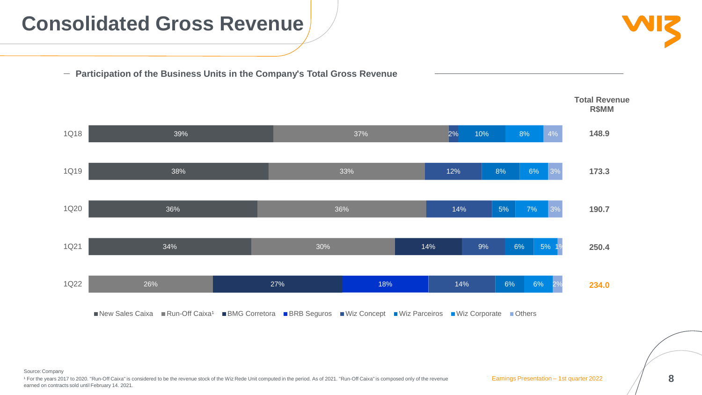Source:Company

**8**

### **Consolidated Gross Revenue**

**Participation of the Business Units in the Company's Total Gross Revenue**



<sup>1</sup> For the years 2017 to 2020. "Run-Off Caixa" is considered to be the revenue stock of the Wiz Rede Unit computed in the period. As of 2021. "Run-Off Caixa" is composed only of the revenue earned on contracts sold until February 14. 2021.



**148.9**

**173.3**

**190.7**

**250.4**

**234.0**

### **Total Revenue R\$MM**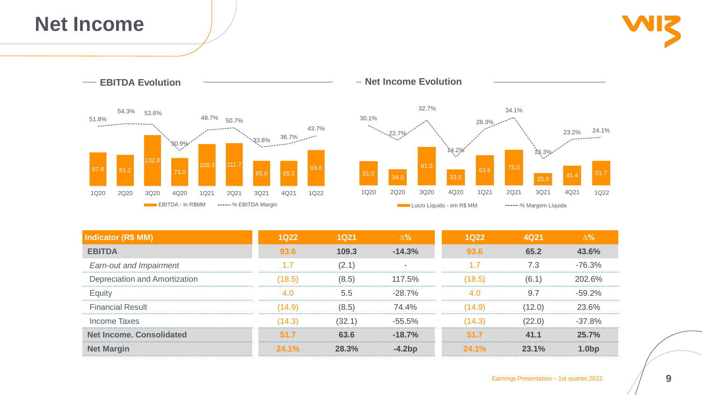

**9**

### **Net Income**





| <b>Indicator (R\$ MM)</b>            | <b>1Q22</b> | <b>1Q21</b> | $\Delta\%$ | <b>1Q22</b> | <b>4Q21</b> | $\Delta\%$ |
|--------------------------------------|-------------|-------------|------------|-------------|-------------|------------|
| <b>EBITDA</b>                        | 93.6        | 109.3       | $-14.3%$   | 93.6        | 65.2        | 43.6%      |
| <b>Earn-out and Impairment</b>       | 1.7         | (2.1)       | $\equiv$   | 1.7         | 7.3         | $-76.3%$   |
| <b>Depreciation and Amortization</b> | (18.5)      | (8.5)       | 117.5%     | (18.5)      | (6.1)       | 202.6%     |
| <b>Equity</b>                        | 4.0         | 5.5         | $-28.7%$   | 4.0         | 9.7         | $-59.2%$   |
| <b>Financial Result</b>              | (14.9)      | (8.5)       | 74.4%      | (14.9)      | (12.0)      | 23.6%      |
| Income Taxes                         | (14.3)      | (32.1)      | $-55.5%$   | (14.3)      | (22.0)      | $-37.8%$   |
| <b>Net Income, Consolidated</b>      | 51.7        | 63.6        | $-18.7%$   | 51.7        | 41.1        | 25.7%      |
| <b>Net Margin</b>                    | 24.1%       | 28.3%       | $-4.2bp$   | 24.1%       | 23.1%       | 1.0bp      |

![](_page_8_Picture_5.jpeg)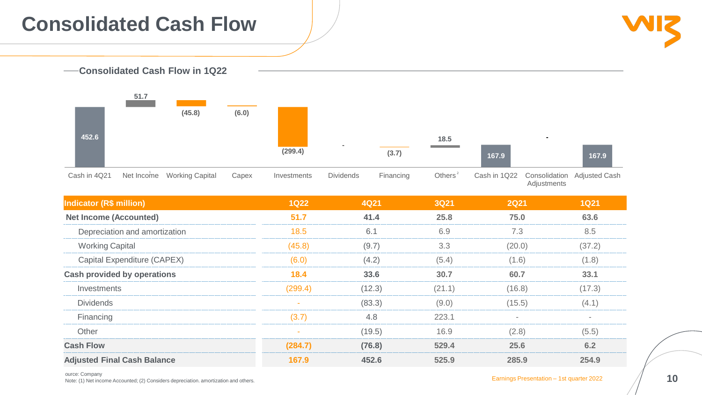![](_page_9_Figure_2.jpeg)

ource: Company

ource: Company<br>Note: (1) Net income Accounted; (2) Considers depreciation. amortization and others. **10** 

![](_page_9_Picture_6.jpeg)

### **Consolidated Cash Flow**

![](_page_9_Figure_1.jpeg)

|                                |                                      |       | (299.4)     |                  | (3.7)     | the control of the control of the | 167.9        |                                     | 167.9                |
|--------------------------------|--------------------------------------|-------|-------------|------------------|-----------|-----------------------------------|--------------|-------------------------------------|----------------------|
| Cash in 4Q21                   | Net Income<br><b>Working Capital</b> | Capex | Investments | <b>Dividends</b> | Financing | Others $2$                        | Cash in 1Q22 | Consolidation<br><b>Adjustments</b> | <b>Adjusted Cash</b> |
| <b>Indicator (R\$ million)</b> |                                      |       | <b>1Q22</b> | <b>4Q21</b>      |           | <b>3Q21</b>                       | <b>2Q21</b>  |                                     | <b>1Q21</b>          |
| <b>Net Income (Accounted)</b>  |                                      |       | 51.7        | 41.4             |           | 25.8                              | 75.0         |                                     | 63.6                 |
|                                | Depreciation and amortization        |       | 18.5        | 6.1              |           | 6.9                               | 7.3          |                                     | 8.5                  |
| <b>Working Capital</b>         |                                      |       | (45.8)      | (9.7)            |           | 3.3                               | (20.0)       |                                     | (37.2)               |
| Capital Expenditure (CAPEX)    |                                      |       | (6.0)       | (4.2)            |           | (5.4)                             | (1.6)        |                                     | (1.8)                |
|                                | <b>Cash provided by operations</b>   |       | 18.4        | 33.6             |           | 30.7                              | 60.7         |                                     | 33.1                 |
| Investments                    |                                      |       | (299.4)     | (12.3)           |           | (21.1)                            | (16.8)       |                                     | (17.3)               |
| <b>Dividends</b>               |                                      |       |             | (83.3)           |           | (9.0)                             | (15.5)       |                                     | (4.1)                |
| Financing                      |                                      |       | (3.7)       | 4.8              |           | 223.1                             | $\equiv$     |                                     | $\sim$               |
| Other                          |                                      |       |             | (19.5)           |           | 16.9                              | (2.8)        |                                     | (5.5)                |
| <b>Cash Flow</b>               |                                      |       | (284.7)     | (76.8)           |           | 529.4                             | 25.6         |                                     | 6.2                  |
|                                | <b>Adjusted Final Cash Balance</b>   |       | 167.9       | 452.6            |           | 525.9                             | 285.9        |                                     | 254.9                |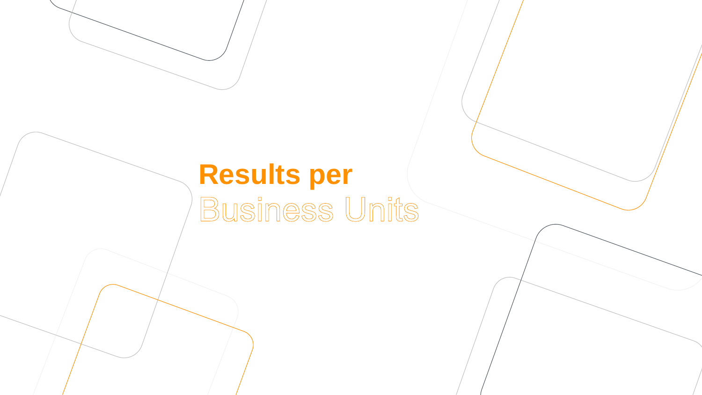# Results per<br>Business Units

![](_page_10_Picture_1.jpeg)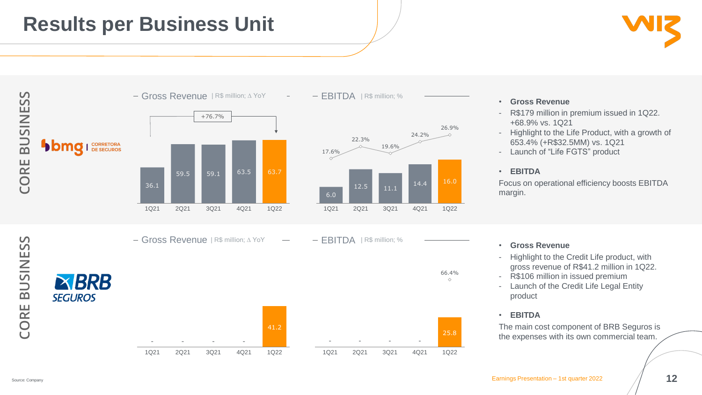![](_page_11_Picture_5.jpeg)

![](_page_11_Figure_1.jpeg)

- R\$179 million in premium issued in 1Q22. +68.9% vs. 1Q21
- Highlight to the Life Product, with a growth of 653.4% (+R\$32.5MM) vs. 1Q21
- Launch of "Life FGTS" product

![](_page_11_Picture_6.jpeg)

![](_page_11_Figure_3.jpeg)

- Highlight to the Credit Life product, with gross revenue of R\$41.2 million in 1Q22.
- R\$106 million in issued premium
- Launch of the Credit Life Legal Entity product

### • **EBITDA**

Focus on operational efficiency boosts EBITDA margin.

### • **Gross Revenue**

### • **EBITDA**

The main cost component of BRB Seguros is the expenses with its own commercial team.

Gross Revenue <sup>|</sup> R\$ million; ∆ YoY EBITDA <sup>|</sup> R\$ million; %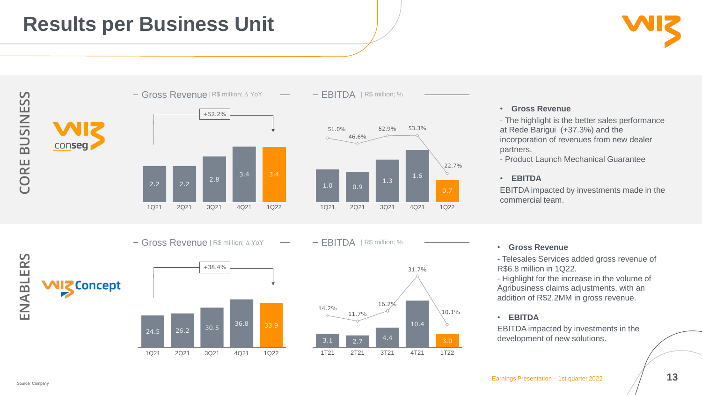#### • **Gross Revenue**

- The highlight is the better sales performance at Rede Barigui (+37.3%) and the incorporation of revenues from new dealer partners.

- Product Launch Mechanical Guarantee

• **EBITDA**

EBITDA impacted by investments made in the commercial team.

![](_page_12_Picture_3.jpeg)

#### • **Gross Revenue**

- Telesales Services added gross revenue of R\$6.8 million in 1Q22.

![](_page_12_Figure_1.jpeg)

- Highlight for the increase in the volume of Agribusiness claims adjustments, with an addition of R\$2.2MM in gross revenue.

### • **EBITDA**

EBITDA impacted by investments in the development of new solutions.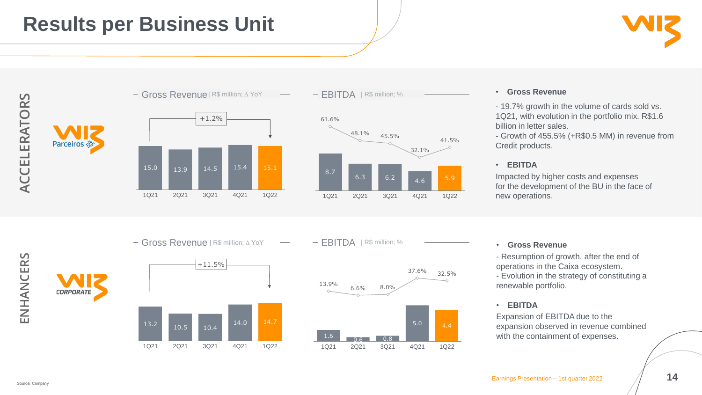### • **Gross Revenue**

- 19.7% growth in the volume of cards sold vs. 1Q21, with evolution in the portfolio mix. R\$1.6 billion in letter sales.

- Growth of 455.5% (+R\$0.5 MM) in revenue from Credit products.

### • **EBITDA**

Impacted by higher costs and expenses for the development of the BU in the face of new operations.

#### • **Gross Revenue**

- Resumption of growth. after the end of operations in the Caixa ecosystem. - Evolution in the strategy of constituting a renewable portfolio.

#### • **EBITDA**

Expansion of EBITDA due to the expansion observed in revenue combined

![](_page_13_Figure_1.jpeg)

Source: Company

![](_page_13_Picture_3.jpeg)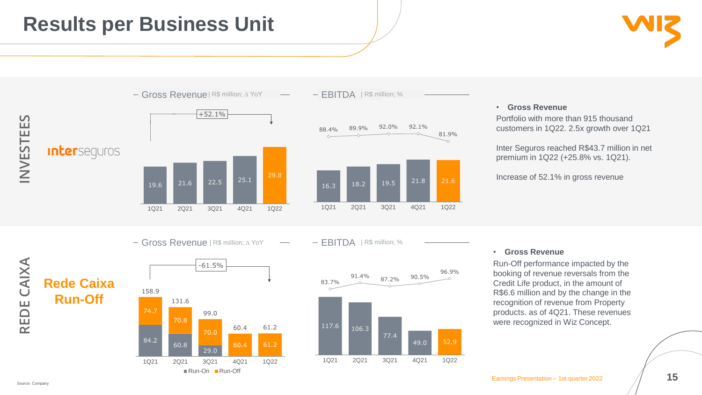#### • **Gross Revenue**

Portfolio with more than 915 thousand customers in 1Q22. 2.5x growth over 1Q21

Inter Seguros reached R\$43.7 million in net premium in 1Q22 (+25.8% vs. 1Q21).

Increase of 52.1% in gross revenue

#### • **Gross Revenue**

Run-Off performance impacted by the booking of revenue reversals from the Credit Life product, in the amount of R\$6.6 million and by the change in the recognition of revenue from Property products. as of 4Q21. These revenues were recognized in Wiz Concept.

![](_page_14_Figure_1.jpeg)

![](_page_14_Picture_3.jpeg)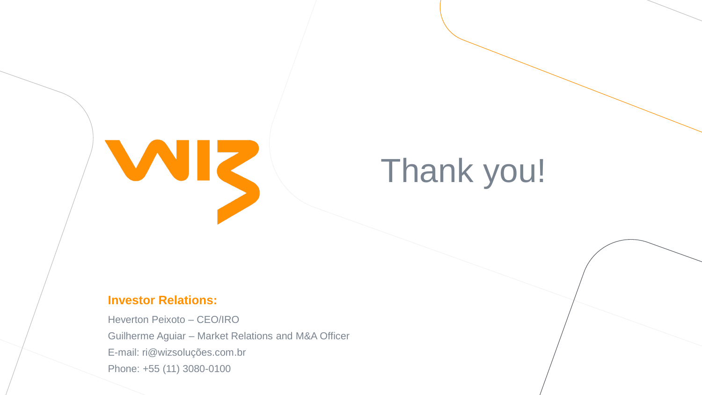# Thank you!

![](_page_15_Picture_0.jpeg)

### **Investor Relations:**

Heverton Peixoto – CEO/IRO Guilherme Aguiar – Market Relations and M&A Officer E-mail: ri@wizsoluções.com.br Phone: +55 (11) 3080-0100